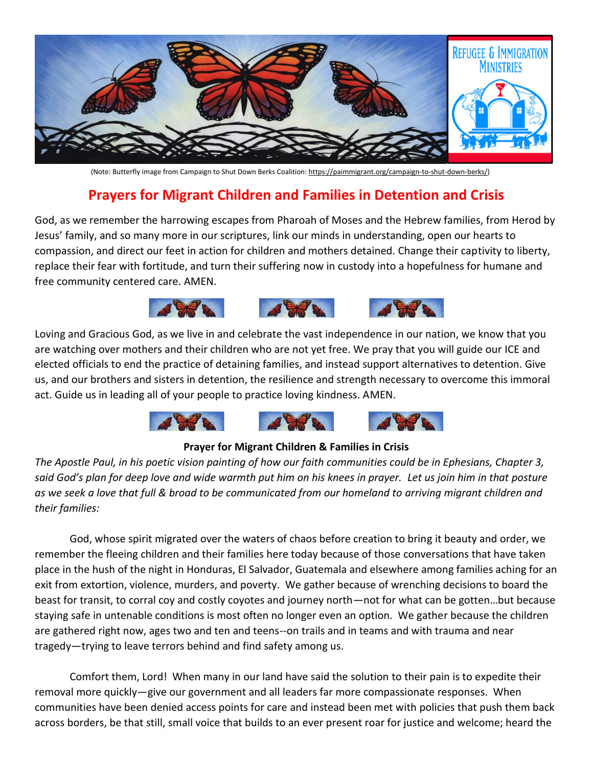

(Note: Butterfly image from Campaign to Shut Down Berks Coalition: [https://paimmigrant.org/campaign-to-shut-down-berks/\)](https://paimmigrant.org/campaign-to-shut-down-berks/)

## **Prayers for Migrant Children and Families in Detention and Crisis**

God, as we remember the harrowing escapes from Pharoah of Moses and the Hebrew families, from Herod by Jesus' family, and so many more in our scriptures, link our minds in understanding, open our hearts to compassion, and direct our feet in action for children and mothers detained. Change their captivity to liberty, replace their fear with fortitude, and turn their suffering now in custody into a hopefulness for humane and free community centered care. AMEN.



Loving and Gracious God, as we live in and celebrate the vast independence in our nation, we know that you are watching over mothers and their children who are not yet free. We pray that you will guide our ICE and elected officials to end the practice of detaining families, and instead support alternatives to detention. Give us, and our brothers and sisters in detention, the resilience and strength necessary to overcome this immoral act. Guide us in leading all of your people to practice loving kindness. AMEN.



## **Prayer for Migrant Children & Families in Crisis**

*The Apostle Paul, in his poetic vision painting of how our faith communities could be in Ephesians, Chapter 3, said God's plan for deep love and wide warmth put him on his knees in prayer. Let us join him in that posture as we seek a love that full & broad to be communicated from our homeland to arriving migrant children and their families:*

God, whose spirit migrated over the waters of chaos before creation to bring it beauty and order, we remember the fleeing children and their families here today because of those conversations that have taken place in the hush of the night in Honduras, El Salvador, Guatemala and elsewhere among families aching for an exit from extortion, violence, murders, and poverty. We gather because of wrenching decisions to board the beast for transit, to corral coy and costly coyotes and journey north—not for what can be gotten…but because staying safe in untenable conditions is most often no longer even an option. We gather because the children are gathered right now, ages two and ten and teens--on trails and in teams and with trauma and near tragedy—trying to leave terrors behind and find safety among us.

Comfort them, Lord! When many in our land have said the solution to their pain is to expedite their removal more quickly—give our government and all leaders far more compassionate responses. When communities have been denied access points for care and instead been met with policies that push them back across borders, be that still, small voice that builds to an ever present roar for justice and welcome; heard the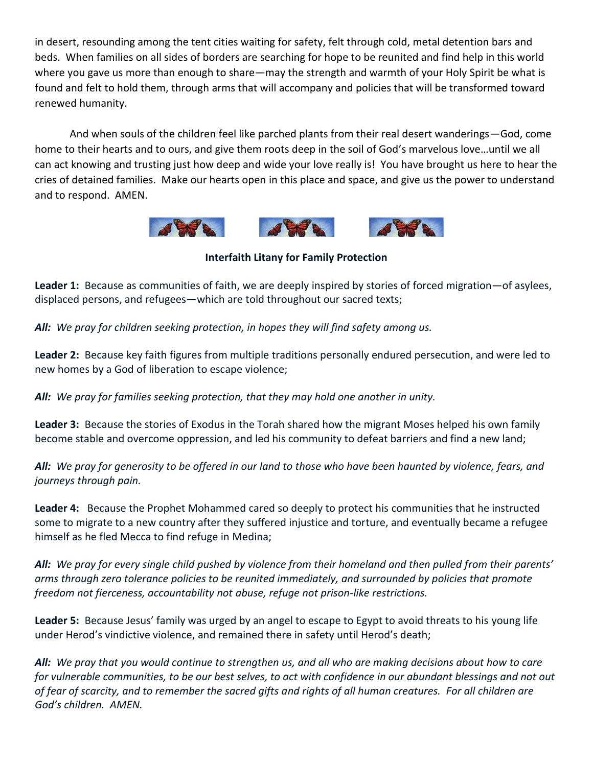in desert, resounding among the tent cities waiting for safety, felt through cold, metal detention bars and beds. When families on all sides of borders are searching for hope to be reunited and find help in this world where you gave us more than enough to share—may the strength and warmth of your Holy Spirit be what is found and felt to hold them, through arms that will accompany and policies that will be transformed toward renewed humanity.

And when souls of the children feel like parched plants from their real desert wanderings—God, come home to their hearts and to ours, and give them roots deep in the soil of God's marvelous love…until we all can act knowing and trusting just how deep and wide your love really is! You have brought us here to hear the cries of detained families. Make our hearts open in this place and space, and give us the power to understand and to respond. AMEN.



**Interfaith Litany for Family Protection**

**Leader 1:** Because as communities of faith, we are deeply inspired by stories of forced migration—of asylees, displaced persons, and refugees—which are told throughout our sacred texts;

*All: We pray for children seeking protection, in hopes they will find safety among us.*

**Leader 2:** Because key faith figures from multiple traditions personally endured persecution, and were led to new homes by a God of liberation to escape violence;

*All: We pray for families seeking protection, that they may hold one another in unity.*

**Leader 3:** Because the stories of Exodus in the Torah shared how the migrant Moses helped his own family become stable and overcome oppression, and led his community to defeat barriers and find a new land;

*All: We pray for generosity to be offered in our land to those who have been haunted by violence, fears, and journeys through pain.*

**Leader 4:** Because the Prophet Mohammed cared so deeply to protect his communities that he instructed some to migrate to a new country after they suffered injustice and torture, and eventually became a refugee himself as he fled Mecca to find refuge in Medina;

*All: We pray for every single child pushed by violence from their homeland and then pulled from their parents' arms through zero tolerance policies to be reunited immediately, and surrounded by policies that promote freedom not fierceness, accountability not abuse, refuge not prison-like restrictions.*

**Leader 5:** Because Jesus' family was urged by an angel to escape to Egypt to avoid threats to his young life under Herod's vindictive violence, and remained there in safety until Herod's death;

*All: We pray that you would continue to strengthen us, and all who are making decisions about how to care for vulnerable communities, to be our best selves, to act with confidence in our abundant blessings and not out of fear of scarcity, and to remember the sacred gifts and rights of all human creatures. For all children are God's children. AMEN.*